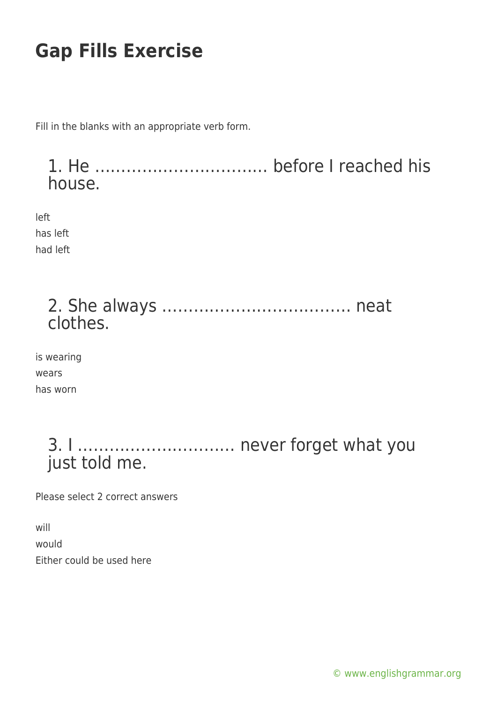Fill in the blanks with an appropriate verb form.

1. He …………………………… before I reached his house.

left has left had left

| clothes. |  |
|----------|--|

is wearing wears has worn

> 3. I ………………………… never forget what you just told me.

Please select 2 correct answers

will would Either could be used here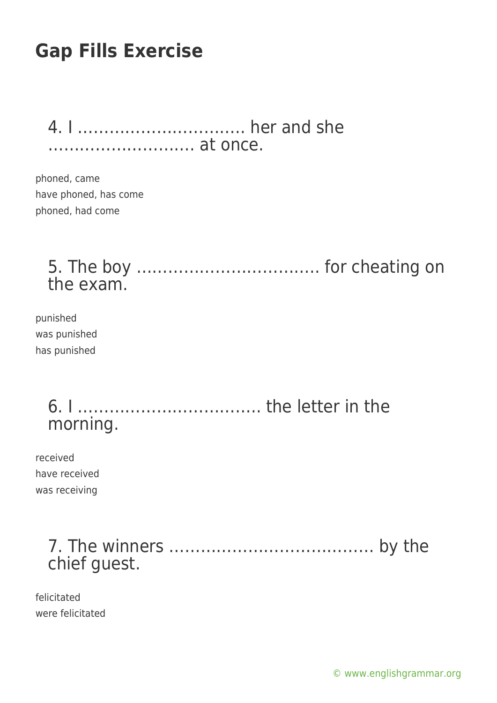4. I ………………………….. her and she ………………………. at once.

phoned, came have phoned, has come phoned, had come

### 5. The boy …………………………….. for cheating on the exam.

punished was punished has punished

### 6. I …………………………….. the letter in the morning.

received have received was receiving

### 7. The winners ………………………………… by the chief guest.

felicitated were felicitated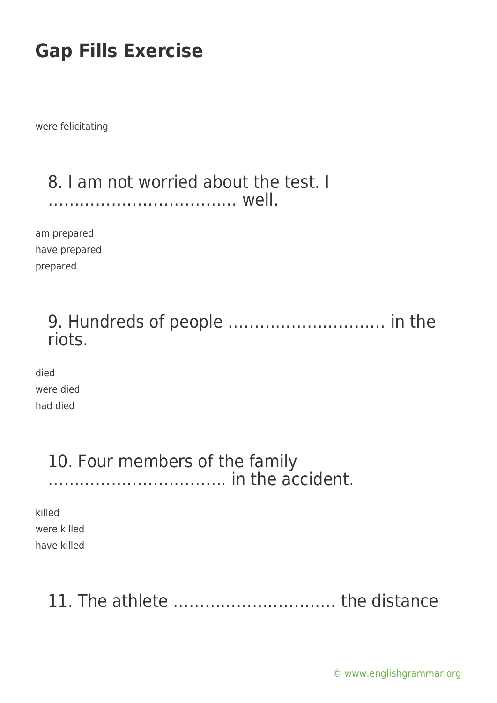were felicitating

#### 8. I am not worried about the test. I ……………………………… well.

am prepared have prepared prepared

#### 9. Hundreds of people ………………………… in the riots.

died were died had died

#### 10. Four members of the family ……………………………. in the accident.

killed were killed have killed

## 11. The athlete …………………………. the distance